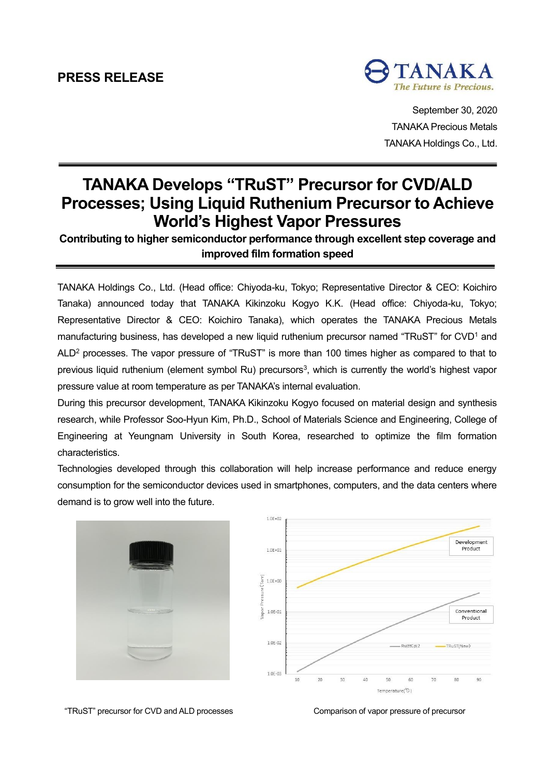# **PRESS RELEASE**



September 30, 2020 TANAKA Precious Metals TANAKA Holdings Co., Ltd.

# **TANAKA Develops "TRuST" Precursor for CVD/ALD Processes; Using Liquid Ruthenium Precursor to Achieve World's Highest Vapor Pressures**

## **Contributing to higher semiconductor performance through excellent step coverage and improved film formation speed**

TANAKA Holdings Co., Ltd. (Head office: Chiyoda-ku, Tokyo; Representative Director & CEO: Koichiro Tanaka) announced today that TANAKA Kikinzoku Kogyo K.K. (Head office: Chiyoda-ku, Tokyo; Representative Director & CEO: Koichiro Tanaka), which operates the TANAKA Precious Metals manufacturing business, has developed a new liquid ruthenium precursor named "TRuST" for CVD<sup>1</sup> and ALD<sup>2</sup> processes. The vapor pressure of "TRuST" is more than 100 times higher as compared to that to previous liquid ruthenium (element symbol Ru) precursors<sup>3</sup>, which is currently the world's highest vapor pressure value at room temperature as per TANAKA's internal evaluation.

During this precursor development, TANAKA Kikinzoku Kogyo focused on material design and synthesis research, while Professor Soo-Hyun Kim, Ph.D., School of Materials Science and Engineering, College of Engineering at Yeungnam University in South Korea, researched to optimize the film formation characteristics.

Technologies developed through this collaboration will help increase performance and reduce energy consumption for the semiconductor devices used in smartphones, computers, and the data centers where demand is to grow well into the future.





"TRuST" precursor for CVD and ALD processes Comparison of vapor pressure of precursor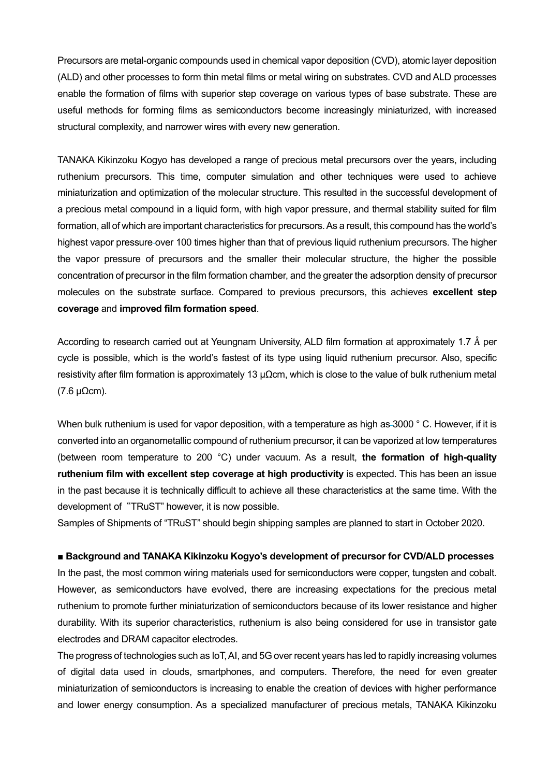Precursors are metal-organic compounds used in chemical vapor deposition (CVD), atomic layer deposition (ALD) and other processes to form thin metal films or metal wiring on substrates. CVD and ALD processes enable the formation of films with superior step coverage on various types of base substrate. These are useful methods for forming films as semiconductors become increasingly miniaturized, with increased structural complexity, and narrower wires with every new generation.

TANAKA Kikinzoku Kogyo has developed a range of precious metal precursors over the years, including ruthenium precursors. This time, computer simulation and other techniques were used to achieve miniaturization and optimization of the molecular structure. This resulted in the successful development of a precious metal compound in a liquid form, with high vapor pressure, and thermal stability suited for film formation, all of which are important characteristics for precursors. As a result, this compound has the world's highest vapor pressure over 100 times higher than that of previous liquid ruthenium precursors. The higher the vapor pressure of precursors and the smaller their molecular structure, the higher the possible concentration of precursor in the film formation chamber, and the greater the adsorption density of precursor molecules on the substrate surface. Compared to previous precursors, this achieves **excellent step coverage** and **improved film formation speed**.

According to research carried out at Yeungnam University, ALD film formation at approximately 1.7 Å per cycle is possible, which is the world's fastest of its type using liquid ruthenium precursor. Also, specific resistivity after film formation is approximately 13 μΩcm, which is close to the value of bulk ruthenium metal (7.6 μΩcm).

When bulk ruthenium is used for vapor deposition, with a temperature as high as 3000 ° C. However, if it is converted into an organometallic compound of ruthenium precursor, it can be vaporized at low temperatures (between room temperature to 200 °C) under vacuum. As a result, **the formation of high-quality ruthenium film with excellent step coverage at high productivity** is expected. This has been an issue in the past because it is technically difficult to achieve all these characteristics at the same time. With the development of "TRuST" however, it is now possible.

Samples of Shipments of "TRuST" should begin shipping samples are planned to start in October 2020.

#### **■ Background and TANAKA Kikinzoku Kogyo's development of precursor for CVD/ALD processes**

In the past, the most common wiring materials used for semiconductors were copper, tungsten and cobalt. However, as semiconductors have evolved, there are increasing expectations for the precious metal ruthenium to promote further miniaturization of semiconductors because of its lower resistance and higher durability. With its superior characteristics, ruthenium is also being considered for use in transistor gate electrodes and DRAM capacitor electrodes.

The progress of technologies such as IoT, AI, and 5G over recent years has led to rapidly increasing volumes of digital data used in clouds, smartphones, and computers. Therefore, the need for even greater miniaturization of semiconductors is increasing to enable the creation of devices with higher performance and lower energy consumption. As a specialized manufacturer of precious metals, TANAKA Kikinzoku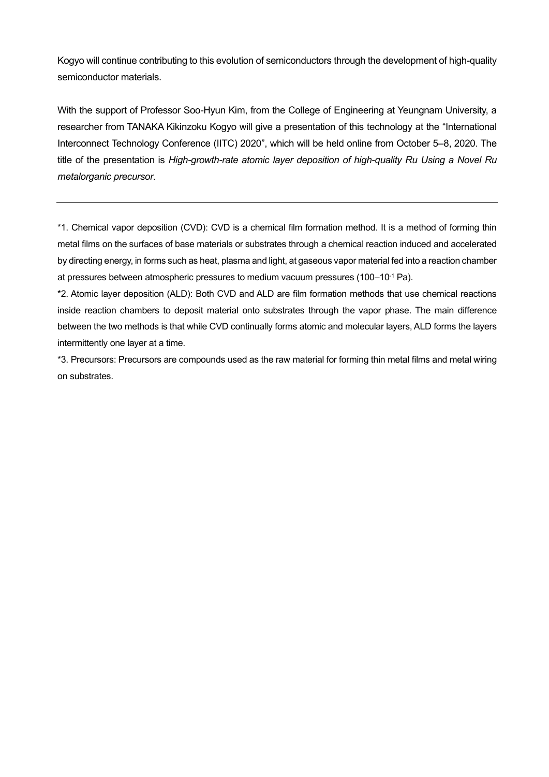Kogyo will continue contributing to this evolution of semiconductors through the development of high-quality semiconductor materials.

With the support of Professor Soo-Hyun Kim, from the College of Engineering at Yeungnam University, a researcher from TANAKA Kikinzoku Kogyo will give a presentation of this technology at the "International Interconnect Technology Conference (IITC) 2020", which will be held online from October 5–8, 2020. The title of the presentation is *High-growth-rate atomic layer deposition of high-quality Ru Using a Novel Ru metalorganic precursor*.

\*1. Chemical vapor deposition (CVD): CVD is a chemical film formation method. It is a method of forming thin metal films on the surfaces of base materials or substrates through a chemical reaction induced and accelerated by directing energy, in forms such as heat, plasma and light, at gaseous vapor material fed into a reaction chamber at pressures between atmospheric pressures to medium vacuum pressures (100–10-1 Pa).

\*2. Atomic layer deposition (ALD): Both CVD and ALD are film formation methods that use chemical reactions inside reaction chambers to deposit material onto substrates through the vapor phase. The main difference between the two methods is that while CVD continually forms atomic and molecular layers, ALD forms the layers intermittently one layer at a time.

\*3. Precursors: Precursors are compounds used as the raw material for forming thin metal films and metal wiring on substrates.